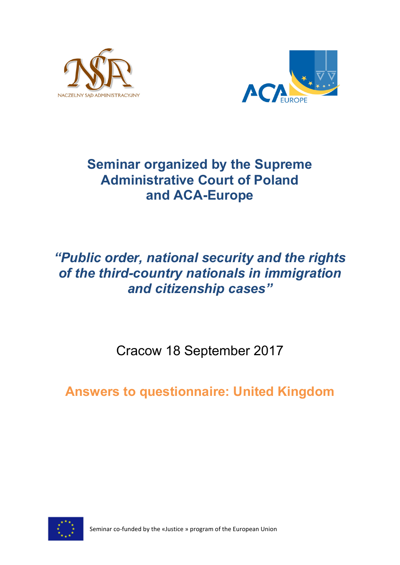



# **Seminar organized by the Supreme Administrative Court of Poland and ACA-Europe**

# *"Public order, national security and the rights of the third-country nationals in immigration and citizenship cases"*

Cracow 18 September 2017

**Answers to questionnaire: United Kingdom**



Seminar co-funded by the «Justice » program of the European Union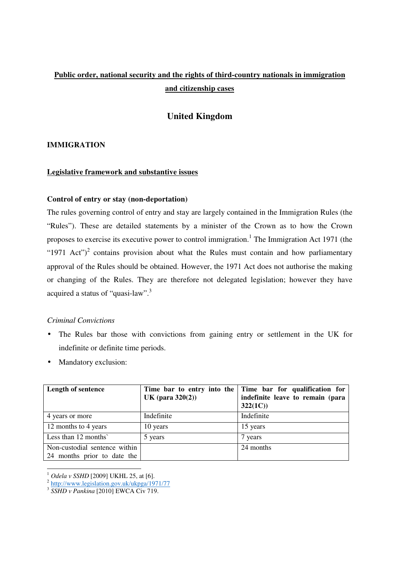# **Public order, national security and the rights of third-country nationals in immigration and citizenship cases**

# **United Kingdom**

#### **IMMIGRATION**

#### **Legislative framework and substantive issues**

#### **Control of entry or stay (non-deportation)**

The rules governing control of entry and stay are largely contained in the Immigration Rules (the "Rules"). These are detailed statements by a minister of the Crown as to how the Crown proposes to exercise its executive power to control immigration.<sup>1</sup> The Immigration Act 1971 (the "1971 Act")<sup>2</sup> contains provision about what the Rules must contain and how parliamentary approval of the Rules should be obtained. However, the 1971 Act does not authorise the making or changing of the Rules. They are therefore not delegated legislation; however they have acquired a status of "quasi-law".<sup>3</sup>

#### *Criminal Convictions*

- The Rules bar those with convictions from gaining entry or settlement in the UK for indefinite or definite time periods.
- Mandatory exclusion:

| <b>Length of sentence</b>                                    | UK (para $320(2)$ ) | Time bar to entry into the Time bar for qualification for<br>indefinite leave to remain (para<br>322(1C) |
|--------------------------------------------------------------|---------------------|----------------------------------------------------------------------------------------------------------|
| 4 years or more                                              | Indefinite          | Indefinite                                                                                               |
| 12 months to 4 years                                         | 10 years            | 15 years                                                                                                 |
| Less than 12 months                                          | 5 years             | 7 years                                                                                                  |
| Non-custodial sentence within<br>24 months prior to date the |                     | 24 months                                                                                                |

<sup>&</sup>lt;sup>1</sup> *Odela v SSHD* [2009] UKHL 25, at [6].<br><sup>2</sup> http://www.legislation.gov.uk/ukpga/1971/77<br><sup>3</sup> *SSHD v Pankina* [2010] EWCA Civ 719.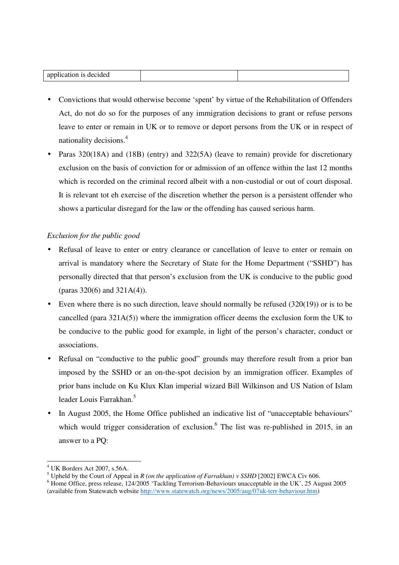| $\sim$<br>IEI.<br>- 114<br>- 10<br>. .<br>. |  |
|---------------------------------------------|--|

- Convictions that would otherwise become 'spent' by virtue of the Rehabilitation of Offenders Act, do not do so for the purposes of any immigration decisions to grant or refuse persons leave to enter or remain in UK or to remove or deport persons from the UK or in respect of nationality decisions.<sup>4</sup>
- Paras 320(18A) and (18B) (entry) and 322(5A) (leave to remain) provide for discretionary exclusion on the basis of conviction for or admission of an offence within the last 12 months which is recorded on the criminal record albeit with a non-custodial or out of court disposal. It is relevant tot eh exercise of the discretion whether the person is a persistent offender who shows a particular disregard for the law or the offending has caused serious harm.

### *Exclusion for the public good*

- Refusal of leave to enter or entry clearance or cancellation of leave to enter or remain on arrival is mandatory where the Secretary of State for the Home Department ("SSHD") has personally directed that that person's exclusion from the UK is conducive to the public good (paras 320(6) and 321A(4)).
- Even where there is no such direction, leave should normally be refused  $(320(19))$  or is to be cancelled (para  $321A(5)$ ) where the immigration officer deems the exclusion form the UK to be conducive to the public good for example, in light of the person's character, conduct or associations.
- Refusal on "conductive to the public good" grounds may therefore result from a prior ban imposed by the SSHD or an on-the-spot decision by an immigration officer. Examples of prior bans include on Ku Klux Klan imperial wizard Bill Wilkinson and US Nation of Islam leader Louis Farrakhan.<sup>5</sup>
- In August 2005, the Home Office published an indicative list of "unacceptable behaviours" which would trigger consideration of exclusion. <sup>6</sup> The list was re-published in 2015, in an answer to a PQ:

 $\frac{1}{2}$ 4 UK Borders Act 2007, s.56A.

<sup>&</sup>lt;sup>5</sup> Upheld by the Court of Appeal in *R* (on the application of Farrakhan) v SSHD [2002] EWCA Civ 606.

<sup>&</sup>lt;sup>6</sup> Home Office, press release, 124/2005 'Tackling Terrorism-Behaviours unacceptable in the UK', 25 August 2005 (available from Statewatch website http://www.statewatch.org/news/2005/aug/07uk-terr-behaviour.htm)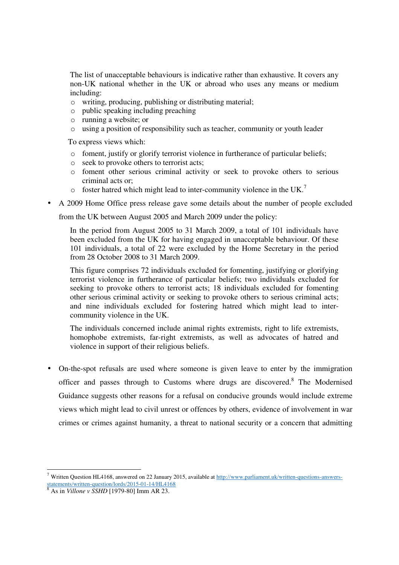The list of unacceptable behaviours is indicative rather than exhaustive. It covers any non-UK national whether in the UK or abroad who uses any means or medium including:

- o writing, producing, publishing or distributing material;
- o public speaking including preaching
- o running a website; or
- o using a position of responsibility such as teacher, community or youth leader

To express views which:

- o foment, justify or glorify terrorist violence in furtherance of particular beliefs;
- o seek to provoke others to terrorist acts;
- o foment other serious criminal activity or seek to provoke others to serious criminal acts or;
- $\circ$  foster hatred which might lead to inter-community violence in the UK.<sup>7</sup>
- A 2009 Home Office press release gave some details about the number of people excluded

from the UK between August 2005 and March 2009 under the policy:

In the period from August 2005 to 31 March 2009, a total of 101 individuals have been excluded from the UK for having engaged in unacceptable behaviour. Of these 101 individuals, a total of 22 were excluded by the Home Secretary in the period from 28 October 2008 to 31 March 2009.

This figure comprises 72 individuals excluded for fomenting, justifying or glorifying terrorist violence in furtherance of particular beliefs; two individuals excluded for seeking to provoke others to terrorist acts; 18 individuals excluded for fomenting other serious criminal activity or seeking to provoke others to serious criminal acts; and nine individuals excluded for fostering hatred which might lead to intercommunity violence in the UK.

The individuals concerned include animal rights extremists, right to life extremists, homophobe extremists, far-right extremists, as well as advocates of hatred and violence in support of their religious beliefs.

• On-the-spot refusals are used where someone is given leave to enter by the immigration officer and passes through to Customs where drugs are discovered.<sup>8</sup> The Modernised Guidance suggests other reasons for a refusal on conducive grounds would include extreme views which might lead to civil unrest or offences by others, evidence of involvement in war crimes or crimes against humanity, a threat to national security or a concern that admitting

 $\overline{\phantom{a}}$ 

<sup>&</sup>lt;sup>7</sup> Written Question HL4168, answered on 22 January 2015, available at  $\frac{http://www.parliament.uk/writen-questions-answers-}$ statements/written-question/lords/2015-01-14/HL4168

<sup>8</sup> As in *Villone v SSHD* [1979-80] Imm AR 23.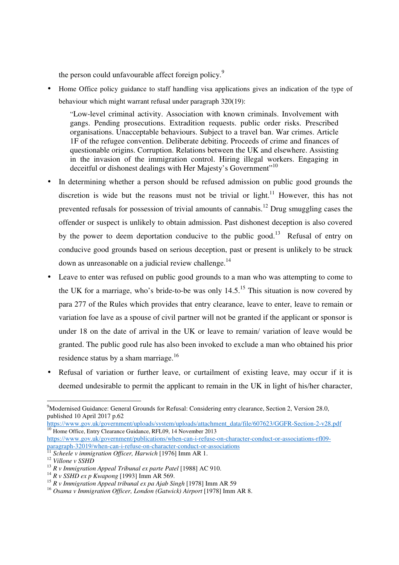the person could unfavourable affect foreign policy.<sup>9</sup>

• Home Office policy guidance to staff handling visa applications gives an indication of the type of behaviour which might warrant refusal under paragraph 320(19):

"Low-level criminal activity. Association with known criminals. Involvement with gangs. Pending prosecutions. Extradition requests. public order risks. Prescribed organisations. Unacceptable behaviours. Subject to a travel ban. War crimes. Article 1F of the refugee convention. Deliberate debiting. Proceeds of crime and finances of questionable origins. Corruption. Relations between the UK and elsewhere. Assisting in the invasion of the immigration control. Hiring illegal workers. Engaging in deceitful or dishonest dealings with Her Majesty's Government"<sup>10</sup>

- In determining whether a person should be refused admission on public good grounds the discretion is wide but the reasons must not be trivial or light.<sup>11</sup> However, this has not prevented refusals for possession of trivial amounts of cannabis.<sup>12</sup> Drug smuggling cases the offender or suspect is unlikely to obtain admission. Past dishonest deception is also covered by the power to deem deportation conducive to the public good.<sup>13</sup> Refusal of entry on conducive good grounds based on serious deception, past or present is unlikely to be struck down as unreasonable on a judicial review challenge.<sup>14</sup>
- Leave to enter was refused on public good grounds to a man who was attempting to come to the UK for a marriage, who's bride-to-be was only  $14.5<sup>15</sup>$  This situation is now covered by para 277 of the Rules which provides that entry clearance, leave to enter, leave to remain or variation foe lave as a spouse of civil partner will not be granted if the applicant or sponsor is under 18 on the date of arrival in the UK or leave to remain/ variation of leave would be granted. The public good rule has also been invoked to exclude a man who obtained his prior residence status by a sham marriage.<sup>16</sup>
- Refusal of variation or further leave, or curtailment of existing leave, may occur if it is deemed undesirable to permit the applicant to remain in the UK in light of his/her character,

<sup>-</sup><sup>9</sup>Modernised Guidance: General Grounds for Refusal: Considering entry clearance, Section 2, Version 28.0, published 10 April 2017 p.62

https://www.gov.uk/government/uploads/system/uploads/attachment\_data/file/607623/GGFR-Section-2-v28.pdf <sup>10</sup> Home Office, Entry Clearance Guidance, RFL09, 14 November 2013

https://www.gov.uk/government/publications/when-can-i-refuse-on-character-conduct-or-associations-rfl09 paragraph-32019/when-can-i-refuse-on-character-conduct-or-associations

<sup>&</sup>lt;sup>11</sup> Scheele v immigration Officer, Harwich [1976] Imm AR 1.

<sup>12</sup> *Villone v SSHD* 

<sup>&</sup>lt;sup>13</sup> *R v Immigration Appeal Tribunal ex parte Patel* [1988] AC 910.

<sup>14</sup> *R v SSHD ex p Kwapong* [1993] Imm AR 569.

<sup>&</sup>lt;sup>15</sup> *R v Immigration Appeal tribunal ex pa Ajab Singh* [1978] Imm AR 59

<sup>16</sup> *Osama v Immigration Officer, London (Gatwick) Airport* [1978] Imm AR 8.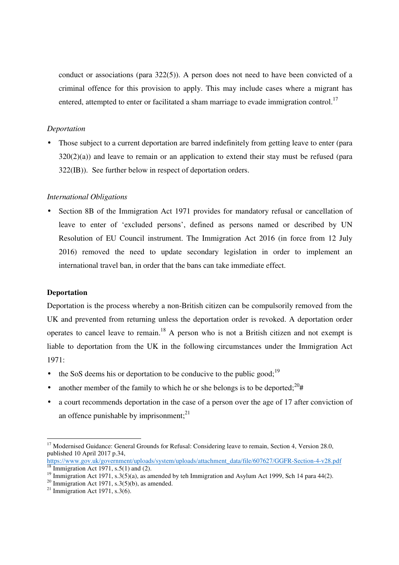conduct or associations (para 322(5)). A person does not need to have been convicted of a criminal offence for this provision to apply. This may include cases where a migrant has entered, attempted to enter or facilitated a sham marriage to evade immigration control.<sup>17</sup>

#### *Deportation*

Those subject to a current deportation are barred indefinitely from getting leave to enter (para  $320(2)(a)$ ) and leave to remain or an application to extend their stay must be refused (para 322(IB)). See further below in respect of deportation orders.

#### *International Obligations*

• Section 8B of the Immigration Act 1971 provides for mandatory refusal or cancellation of leave to enter of 'excluded persons', defined as persons named or described by UN Resolution of EU Council instrument. The Immigration Act 2016 (in force from 12 July 2016) removed the need to update secondary legislation in order to implement an international travel ban, in order that the bans can take immediate effect.

#### **Deportation**

Deportation is the process whereby a non-British citizen can be compulsorily removed from the UK and prevented from returning unless the deportation order is revoked. A deportation order operates to cancel leave to remain.<sup>18</sup> A person who is not a British citizen and not exempt is liable to deportation from the UK in the following circumstances under the Immigration Act 1971:

- the SoS deems his or deportation to be conducive to the public good;<sup>19</sup>
- another member of the family to which he or she belongs is to be deported;  $20#$
- a court recommends deportation in the case of a person over the age of 17 after conviction of an offence punishable by imprisonment; $^{21}$

<sup>-</sup><sup>17</sup> Modernised Guidance: General Grounds for Refusal: Considering leave to remain, Section 4, Version 28.0, published 10 April 2017 p.34,

https://www.gov.uk/government/uploads/system/uploads/attachment\_data/file/607627/GGFR-Section-4-v28.pdf  $18 \text{ Im migration Act } 1971, s.5(1) \text{ and } (2).$ 

<sup>&</sup>lt;sup>19</sup> Immigration Act 1971, s.3(5)(a), as amended by teh Immigration and Asylum Act 1999, Sch 14 para 44(2).

<sup>&</sup>lt;sup>20</sup> Immigration Act 1971, s.3(5)(b), as amended.

<sup>&</sup>lt;sup>21</sup> Immigration Act 1971, s.3(6).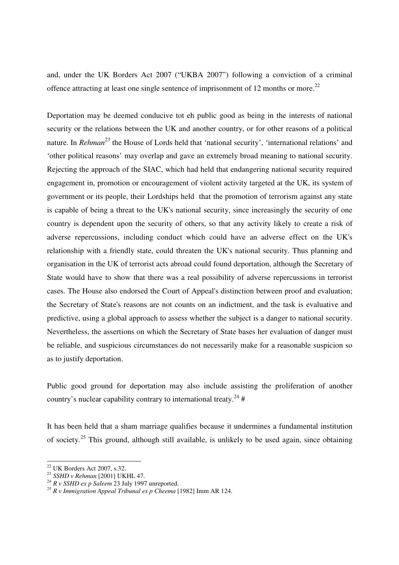and, under the UK Borders Act 2007 ("UKBA 2007") following a conviction of a criminal offence attracting at least one single sentence of imprisonment of 12 months or more.<sup>22</sup>

Deportation may be deemed conducive tot eh public good as being in the interests of national security or the relations between the UK and another country, or for other reasons of a political nature. In *Rehman<sup>23</sup>* the House of Lords held that 'national security', 'international relations' and 'other political reasons' may overlap and gave an extremely broad meaning to national security. Rejecting the approach of the SIAC, which had held that endangering national security required engagement in, promotion or encouragement of violent activity targeted at the UK, its system of government or its people, their Lordships held that the promotion of terrorism against any state is capable of being a threat to the UK's national security, since increasingly the security of one country is dependent upon the security of others, so that any activity likely to create a risk of adverse repercussions, including conduct which could have an adverse effect on the UK's relationship with a friendly state, could threaten the UK's national security. Thus planning and organisation in the UK of terrorist acts abroad could found deportation, although the Secretary of State would have to show that there was a real possibility of adverse repercussions in terrorist cases. The House also endorsed the Court of Appeal's distinction between proof and evaluation; the Secretary of State's reasons are not counts on an indictment, and the task is evaluative and predictive, using a global approach to assess whether the subject is a danger to national security. Nevertheless, the assertions on which the Secretary of State bases her evaluation of danger must be reliable, and suspicious circumstances do not necessarily make for a reasonable suspicion so as to justify deportation.

Public good ground for deportation may also include assisting the proliferation of another country's nuclear capability contrary to international treaty.<sup>24</sup> #

It has been held that a sham marriage qualifies because it undermines a fundamental institution of society.<sup>25</sup> This ground, although still available, is unlikely to be used again, since obtaining

 $\overline{a}$ 

 $22$  UK Borders Act 2007, s.32.

<sup>23</sup> *SSHD v Rehman* [2001] UKHL 47.

<sup>24</sup> *R v SSHD ex p Saleem* 23 July 1997 unreported.

<sup>25</sup> *R v Immigration Appeal Tribunal ex p Cheema* [1982] Imm AR 124.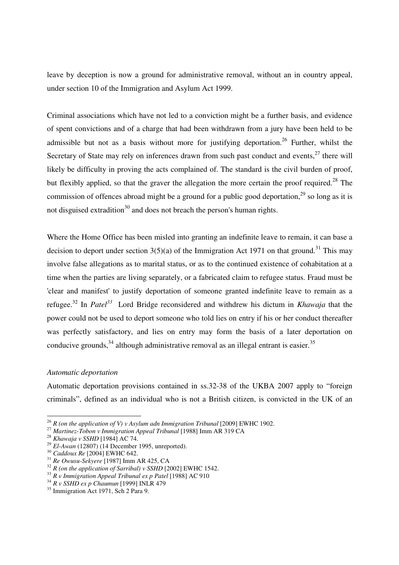leave by deception is now a ground for administrative removal, without an in country appeal, under section 10 of the Immigration and Asylum Act 1999.

Criminal associations which have not led to a conviction might be a further basis, and evidence of spent convictions and of a charge that had been withdrawn from a jury have been held to be admissible but not as a basis without more for justifying deportation.<sup>26</sup> Further, whilst the Secretary of State may rely on inferences drawn from such past conduct and events, $^{27}$  there will likely be difficulty in proving the acts complained of. The standard is the civil burden of proof, but flexibly applied, so that the graver the allegation the more certain the proof required.<sup>28</sup> The commission of offences abroad might be a ground for a public good deportation,  $29$  so long as it is not disguised extradition<sup>30</sup> and does not breach the person's human rights.

Where the Home Office has been misled into granting an indefinite leave to remain, it can base a decision to deport under section  $3(5)(a)$  of the Immigration Act 1971 on that ground.<sup>31</sup> This may involve false allegations as to marital status, or as to the continued existence of cohabitation at a time when the parties are living separately, or a fabricated claim to refugee status. Fraud must be 'clear and manifest' to justify deportation of someone granted indefinite leave to remain as a refugee.<sup>32</sup> In *Patel<sup>33</sup>* Lord Bridge reconsidered and withdrew his dictum in *Khawaja* that the power could not be used to deport someone who told lies on entry if his or her conduct thereafter was perfectly satisfactory, and lies on entry may form the basis of a later deportation on conducive grounds,  $34$  although administrative removal as an illegal entrant is easier.  $35$ 

#### *Automatic deportation*

Automatic deportation provisions contained in ss.32-38 of the UKBA 2007 apply to "foreign criminals", defined as an individual who is not a British citizen, is convicted in the UK of an

<sup>-</sup> $^{26}$  *R* (on the application of V) v Asylum adn Immigration Tribunal [2009] EWHC 1902.

<sup>&</sup>lt;sup>27</sup> Martinez-Tobon v Immigration Appeal Tribunal [1988] Imm AR 319 CA

<sup>28</sup> *Khawaja v SSHD* [1984] AC 74.

<sup>29</sup> *El-Awan* (12807) (14 December 1995, unreported).

<sup>30</sup> *Caddoux Re* [2004] EWHC 642.

<sup>31</sup> *Re Owusu-Sekyere* [1987] Imm AR 425, CA

<sup>&</sup>lt;sup>32</sup> *R* (on the application of Sarribal) v SSHD [2002] EWHC 1542.

<sup>&</sup>lt;sup>33</sup> *R v Immigration Appeal Tribunal ex p Patel* [1988] AC 910

<sup>34</sup> *R v SSHD ex p Chaumun* [1999] INLR 479

 $35$  Immigration Act 1971, Sch 2 Para 9.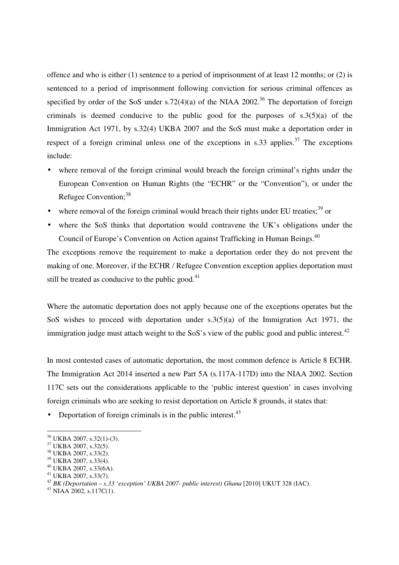offence and who is either (1) sentence to a period of imprisonment of at least 12 months; or (2) is sentenced to a period of imprisonment following conviction for serious criminal offences as specified by order of the SoS under s.72(4)(a) of the NIAA 2002.<sup>36</sup> The deportation of foreign criminals is deemed conducive to the public good for the purposes of s.3(5)(a) of the Immigration Act 1971, by s.32(4) UKBA 2007 and the SoS must make a deportation order in respect of a foreign criminal unless one of the exceptions in s.33 applies.<sup>37</sup> The exceptions include:

- where removal of the foreign criminal would breach the foreign criminal's rights under the European Convention on Human Rights (the "ECHR" or the "Convention"), or under the Refugee Convention;<sup>38</sup>
- where removal of the foreign criminal would breach their rights under EU treaties;<sup>39</sup> or
- where the SoS thinks that deportation would contravene the UK's obligations under the Council of Europe's Convention on Action against Trafficking in Human Beings.<sup>40</sup>

The exceptions remove the requirement to make a deportation order they do not prevent the making of one. Moreover, if the ECHR / Refugee Convention exception applies deportation must still be treated as conducive to the public good. $41$ 

Where the automatic deportation does not apply because one of the exceptions operates but the SoS wishes to proceed with deportation under s.3(5)(a) of the Immigration Act 1971, the immigration judge must attach weight to the SoS's view of the public good and public interest. $42$ 

In most contested cases of automatic deportation, the most common defence is Article 8 ECHR. The Immigration Act 2014 inserted a new Part 5A (s.117A-117D) into the NIAA 2002. Section 117C sets out the considerations applicable to the 'public interest question' in cases involving foreign criminals who are seeking to resist deportation on Article 8 grounds, it states that:

• Deportation of foreign criminals is in the public interest. $43$ 

<sup>36</sup> UKBA 2007, s.32(1)-(3).

<sup>37</sup> UKBA 2007, s.32(5).

<sup>38</sup> UKBA 2007, s.33(2).

<sup>39</sup> UKBA 2007, s.33(4).

<sup>40</sup> UKBA 2007, s.33(6A).

<sup>41</sup> UKBA 2007, s.33(7).

<sup>&</sup>lt;sup>42</sup> *BK (Deportation – s.33 'exception' UKBA 2007- public interest) Ghana* [2010] UKUT 328 (IAC).

 $^{43}$  NIAA 2002, s.117C(1).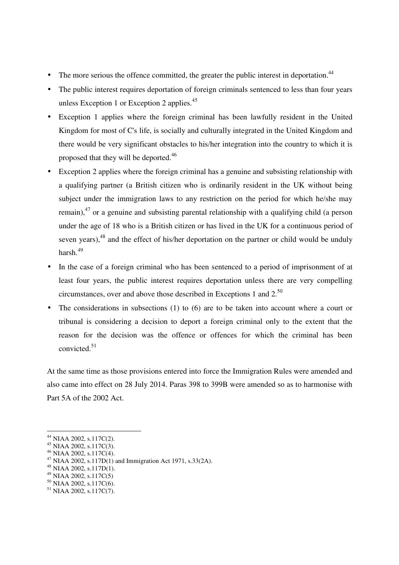- The more serious the offence committed, the greater the public interest in deportation. $44$
- The public interest requires deportation of foreign criminals sentenced to less than four years unless Exception 1 or Exception 2 applies. $45$
- Exception 1 applies where the foreign criminal has been lawfully resident in the United Kingdom for most of C's life, is socially and culturally integrated in the United Kingdom and there would be very significant obstacles to his/her integration into the country to which it is proposed that they will be deported.<sup>46</sup>
- Exception 2 applies where the foreign criminal has a genuine and subsisting relationship with a qualifying partner (a British citizen who is ordinarily resident in the UK without being subject under the immigration laws to any restriction on the period for which he/she may remain),  $47$  or a genuine and subsisting parental relationship with a qualifying child (a person under the age of 18 who is a British citizen or has lived in the UK for a continuous period of seven years), $48$  and the effect of his/her deportation on the partner or child would be unduly harsh.<sup>49</sup>
- In the case of a foreign criminal who has been sentenced to a period of imprisonment of at least four years, the public interest requires deportation unless there are very compelling circumstances, over and above those described in Exceptions 1 and 2.<sup>50</sup>
- The considerations in subsections  $(1)$  to  $(6)$  are to be taken into account where a court or tribunal is considering a decision to deport a foreign criminal only to the extent that the reason for the decision was the offence or offences for which the criminal has been convicted.<sup>51</sup>

At the same time as those provisions entered into force the Immigration Rules were amended and also came into effect on 28 July 2014. Paras 398 to 399B were amended so as to harmonise with Part 5A of the 2002 Act.

 $44$  NIAA 2002, s.117C(2).

<sup>45</sup> NIAA 2002, s.117C(3).

<sup>46</sup> NIAA 2002, s.117C(4).

<sup>47</sup> NIAA 2002, s.117D(1) and Immigration Act 1971, s.33(2A).

<sup>48</sup> NIAA 2002, s.117D(1).

<sup>49</sup> NIAA 2002, s.117C(5)

<sup>50</sup> NIAA 2002, s.117C(6).

 $51$  NIAA 2002, s.117C(7).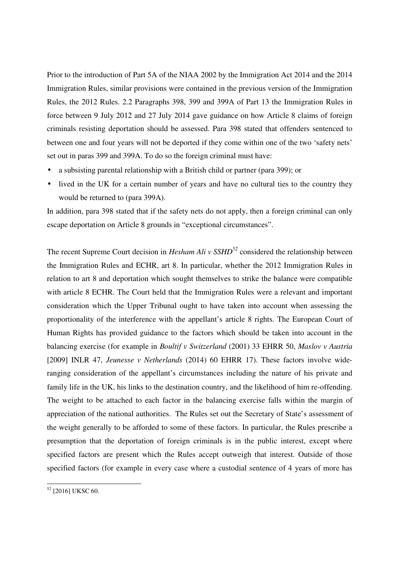Prior to the introduction of Part 5A of the NIAA 2002 by the Immigration Act 2014 and the 2014 Immigration Rules, similar provisions were contained in the previous version of the Immigration Rules, the 2012 Rules. 2.2 Paragraphs 398, 399 and 399A of Part 13 the Immigration Rules in force between 9 July 2012 and 27 July 2014 gave guidance on how Article 8 claims of foreign criminals resisting deportation should be assessed. Para 398 stated that offenders sentenced to between one and four years will not be deported if they come within one of the two 'safety nets' set out in paras 399 and 399A. To do so the foreign criminal must have:

- a subsisting parental relationship with a British child or partner (para 399); or
- lived in the UK for a certain number of years and have no cultural ties to the country they would be returned to (para 399A).

In addition, para 398 stated that if the safety nets do not apply, then a foreign criminal can only escape deportation on Article 8 grounds in "exceptional circumstances".

The recent Supreme Court decision in *Hesham Ali v SSHD<sup>52</sup>* considered the relationship between the Immigration Rules and ECHR, art 8. In particular, whether the 2012 Immigration Rules in relation to art 8 and deportation which sought themselves to strike the balance were compatible with article 8 ECHR. The Court held that the Immigration Rules were a relevant and important consideration which the Upper Tribunal ought to have taken into account when assessing the proportionality of the interference with the appellant's article 8 rights. The European Court of Human Rights has provided guidance to the factors which should be taken into account in the balancing exercise (for example in *Boultif v Switzerland* (2001) 33 EHRR 50, *Maslov v Austria* [2009] INLR 47, *Jeunesse v Netherlands* (2014) 60 EHRR 17). These factors involve wideranging consideration of the appellant's circumstances including the nature of his private and family life in the UK, his links to the destination country, and the likelihood of him re-offending. The weight to be attached to each factor in the balancing exercise falls within the margin of appreciation of the national authorities. The Rules set out the Secretary of State's assessment of the weight generally to be afforded to some of these factors. In particular, the Rules prescribe a presumption that the deportation of foreign criminals is in the public interest, except where specified factors are present which the Rules accept outweigh that interest. Outside of those specified factors (for example in every case where a custodial sentence of 4 years of more has

<sup>-</sup> $52$  [2016] UKSC 60.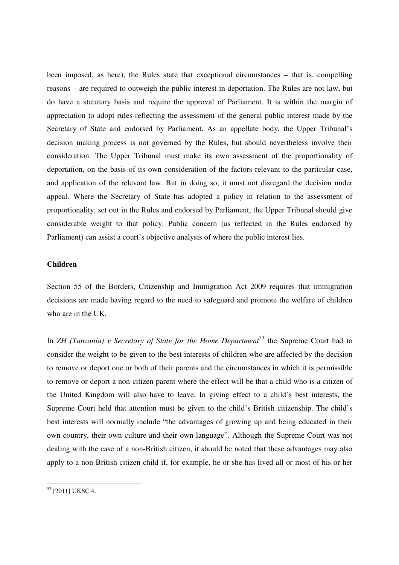been imposed, as here), the Rules state that exceptional circumstances – that is, compelling reasons – are required to outweigh the public interest in deportation. The Rules are not law, but do have a statutory basis and require the approval of Parliament. It is within the margin of appreciation to adopt rules reflecting the assessment of the general public interest made by the Secretary of State and endorsed by Parliament. As an appellate body, the Upper Tribunal's decision making process is not governed by the Rules, but should nevertheless involve their consideration. The Upper Tribunal must make its own assessment of the proportionality of deportation, on the basis of its own consideration of the factors relevant to the particular case, and application of the relevant law. But in doing so, it must not disregard the decision under appeal. Where the Secretary of State has adopted a policy in relation to the assessment of proportionality, set out in the Rules and endorsed by Parliament, the Upper Tribunal should give considerable weight to that policy. Public concern (as reflected in the Rules endorsed by Parliament) can assist a court's objective analysis of where the public interest lies.

#### **Children**

Section 55 of the Borders, Citizenship and Immigration Act 2009 requires that immigration decisions are made having regard to the need to safeguard and promote the welfare of children who are in the UK.

In *ZH (Tanzania) v Secretary of State for the Home Department*<sup>53</sup> the Supreme Court had to consider the weight to be given to the best interests of children who are affected by the decision to remove or deport one or both of their parents and the circumstances in which it is permissible to remove or deport a non-citizen parent where the effect will be that a child who is a citizen of the United Kingdom will also have to leave. In giving effect to a child's best interests, the Supreme Court held that attention must be given to the child's British citizenship. The child's best interests will normally include "the advantages of growing up and being educated in their own country, their own culture and their own language". Although the Supreme Court was not dealing with the case of a non-British citizen, it should be noted that these advantages may also apply to a non-British citizen child if, for example, he or she has lived all or most of his or her

<sup>-</sup><sup>53</sup> [2011] UKSC 4.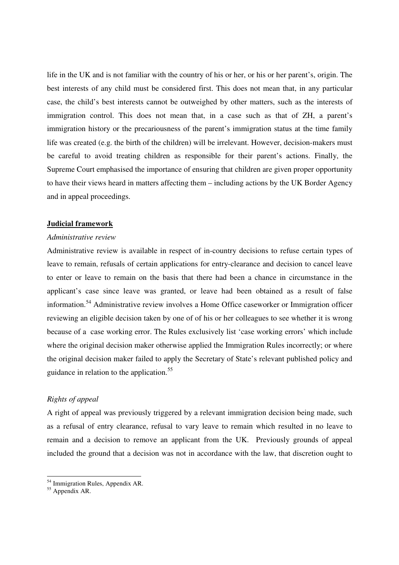life in the UK and is not familiar with the country of his or her, or his or her parent's, origin. The best interests of any child must be considered first. This does not mean that, in any particular case, the child's best interests cannot be outweighed by other matters, such as the interests of immigration control. This does not mean that, in a case such as that of ZH, a parent's immigration history or the precariousness of the parent's immigration status at the time family life was created (e.g. the birth of the children) will be irrelevant. However, decision-makers must be careful to avoid treating children as responsible for their parent's actions. Finally, the Supreme Court emphasised the importance of ensuring that children are given proper opportunity to have their views heard in matters affecting them – including actions by the UK Border Agency and in appeal proceedings.

#### **Judicial framework**

#### *Administrative review*

Administrative review is available in respect of in-country decisions to refuse certain types of leave to remain, refusals of certain applications for entry-clearance and decision to cancel leave to enter or leave to remain on the basis that there had been a chance in circumstance in the applicant's case since leave was granted, or leave had been obtained as a result of false information.<sup>54</sup> Administrative review involves a Home Office caseworker or Immigration officer reviewing an eligible decision taken by one of of his or her colleagues to see whether it is wrong because of a case working error. The Rules exclusively list 'case working errors' which include where the original decision maker otherwise applied the Immigration Rules incorrectly; or where the original decision maker failed to apply the Secretary of State's relevant published policy and guidance in relation to the application.<sup>55</sup>

#### *Rights of appeal*

A right of appeal was previously triggered by a relevant immigration decision being made, such as a refusal of entry clearance, refusal to vary leave to remain which resulted in no leave to remain and a decision to remove an applicant from the UK. Previously grounds of appeal included the ground that a decision was not in accordance with the law, that discretion ought to

<sup>&</sup>lt;sup>54</sup> Immigration Rules, Appendix AR.

<sup>&</sup>lt;sup>55</sup> Appendix AR.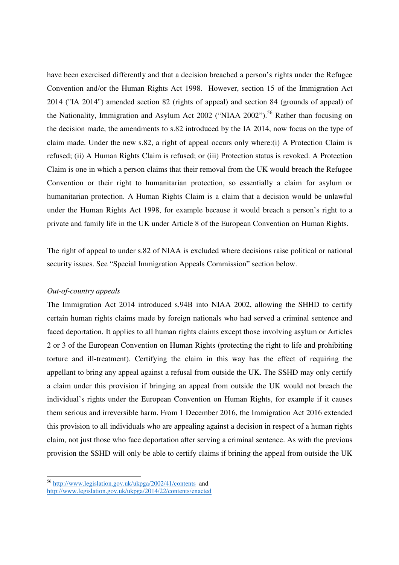have been exercised differently and that a decision breached a person's rights under the Refugee Convention and/or the Human Rights Act 1998. However, section 15 of the Immigration Act 2014 ("IA 2014") amended section 82 (rights of appeal) and section 84 (grounds of appeal) of the Nationality, Immigration and Asylum Act 2002 ("NIAA 2002").<sup>56</sup> Rather than focusing on the decision made, the amendments to s.82 introduced by the IA 2014, now focus on the type of claim made. Under the new s.82, a right of appeal occurs only where:(i) A Protection Claim is refused; (ii) A Human Rights Claim is refused; or (iii) Protection status is revoked. A Protection Claim is one in which a person claims that their removal from the UK would breach the Refugee Convention or their right to humanitarian protection, so essentially a claim for asylum or humanitarian protection. A Human Rights Claim is a claim that a decision would be unlawful under the Human Rights Act 1998, for example because it would breach a person's right to a private and family life in the UK under Article 8 of the European Convention on Human Rights.

The right of appeal to under s.82 of NIAA is excluded where decisions raise political or national security issues. See "Special Immigration Appeals Commission" section below.

#### *Out-of-country appeals*

-

The Immigration Act 2014 introduced s.94B into NIAA 2002, allowing the SHHD to certify certain human rights claims made by foreign nationals who had served a criminal sentence and faced deportation. It applies to all human rights claims except those involving asylum or Articles 2 or 3 of the European Convention on Human Rights (protecting the right to life and prohibiting torture and ill-treatment). Certifying the claim in this way has the effect of requiring the appellant to bring any appeal against a refusal from outside the UK. The SSHD may only certify a claim under this provision if bringing an appeal from outside the UK would not breach the individual's rights under the European Convention on Human Rights, for example if it causes them serious and irreversible harm. From 1 December 2016, the Immigration Act 2016 extended this provision to all individuals who are appealing against a decision in respect of a human rights claim, not just those who face deportation after serving a criminal sentence. As with the previous provision the SSHD will only be able to certify claims if brining the appeal from outside the UK

<sup>&</sup>lt;sup>56</sup> http://www.legislation.gov.uk/ukpga/2002/41/contents and http://www.legislation.gov.uk/ukpga/2014/22/contents/enacted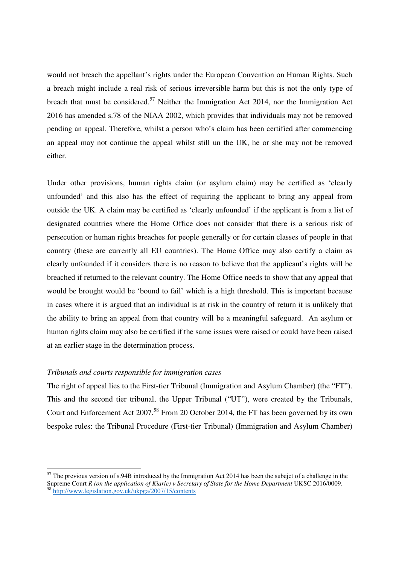would not breach the appellant's rights under the European Convention on Human Rights. Such a breach might include a real risk of serious irreversible harm but this is not the only type of breach that must be considered.<sup>57</sup> Neither the Immigration Act 2014, nor the Immigration Act 2016 has amended s.78 of the NIAA 2002, which provides that individuals may not be removed pending an appeal. Therefore, whilst a person who's claim has been certified after commencing an appeal may not continue the appeal whilst still un the UK, he or she may not be removed either.

Under other provisions, human rights claim (or asylum claim) may be certified as 'clearly unfounded' and this also has the effect of requiring the applicant to bring any appeal from outside the UK. A claim may be certified as 'clearly unfounded' if the applicant is from a list of designated countries where the Home Office does not consider that there is a serious risk of persecution or human rights breaches for people generally or for certain classes of people in that country (these are currently all EU countries). The Home Office may also certify a claim as clearly unfounded if it considers there is no reason to believe that the applicant's rights will be breached if returned to the relevant country. The Home Office needs to show that any appeal that would be brought would be 'bound to fail' which is a high threshold. This is important because in cases where it is argued that an individual is at risk in the country of return it is unlikely that the ability to bring an appeal from that country will be a meaningful safeguard. An asylum or human rights claim may also be certified if the same issues were raised or could have been raised at an earlier stage in the determination process.

#### *Tribunals and courts responsible for immigration cases*

-

The right of appeal lies to the First-tier Tribunal (Immigration and Asylum Chamber) (the "FT"). This and the second tier tribunal, the Upper Tribunal ("UT"), were created by the Tribunals, Court and Enforcement Act 2007.<sup>58</sup> From 20 October 2014, the FT has been governed by its own bespoke rules: the Tribunal Procedure (First-tier Tribunal) (Immigration and Asylum Chamber)

 $57$  The previous version of s.94B introduced by the Immigration Act 2014 has been the subejct of a challenge in the Supreme Court *R* (on the application of Kiarie) v Secretary of State for the Home Department UKSC 2016/0009. <sup>58</sup> http://www.legislation.gov.uk/ukpga/2007/15/contents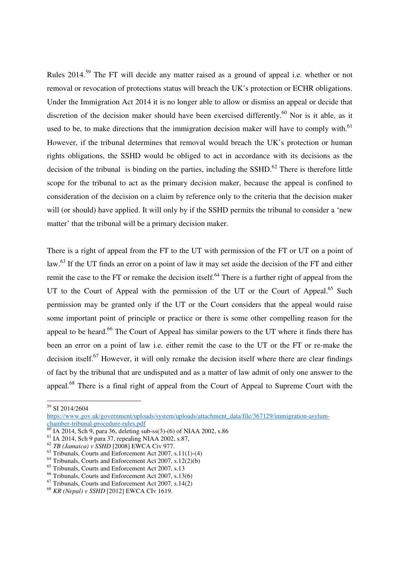Rules 2014.<sup>59</sup> The FT will decide any matter raised as a ground of appeal i.e. whether or not removal or revocation of protections status will breach the UK's protection or ECHR obligations. Under the Immigration Act 2014 it is no longer able to allow or dismiss an appeal or decide that discretion of the decision maker should have been exercised differently.<sup>60</sup> Nor is it able, as it used to be, to make directions that the immigration decision maker will have to comply with.<sup>61</sup> However, if the tribunal determines that removal would breach the UK's protection or human rights obligations, the SSHD would be obliged to act in accordance with its decisions as the decision of the tribunal is binding on the parties, including the  $SSHD<sup>62</sup>$ . There is therefore little scope for the tribunal to act as the primary decision maker, because the appeal is confined to consideration of the decision on a claim by reference only to the criteria that the decision maker will (or should) have applied. It will only by if the SSHD permits the tribunal to consider a 'new matter' that the tribunal will be a primary decision maker.

There is a right of appeal from the FT to the UT with permission of the FT or UT on a point of law.<sup>63</sup> If the UT finds an error on a point of law it may set aside the decision of the FT and either remit the case to the FT or remake the decision itself.<sup>64</sup> There is a further right of appeal from the UT to the Court of Appeal with the permission of the UT or the Court of Appeal.<sup>65</sup> Such permission may be granted only if the UT or the Court considers that the appeal would raise some important point of principle or practice or there is some other compelling reason for the appeal to be heard.<sup>66</sup> The Court of Appeal has similar powers to the UT where it finds there has been an error on a point of law i.e. either remit the case to the UT or the FT or re-make the decision itself. $67$  However, it will only remake the decision itself where there are clear findings of fact by the tribunal that are undisputed and as a matter of law admit of only one answer to the appeal.<sup>68</sup> There is a final right of appeal from the Court of Appeal to Supreme Court with the

<sup>-</sup><sup>59</sup> SI 2014/2604

https://www.gov.uk/government/uploads/system/uploads/attachment\_data/file/367129/immigration-asylumchamber-tribunal-procedure-rules.pdf

 $\frac{60}{60}$  IA 2014, Sch 9, para 36, deleting sub-ss(3)-(6) of NIAA 2002, s.86

<sup>61</sup> IA 2014, Sch 9 para 37, repealing NIAA 2002, s.87,

<sup>62</sup> *TB (Jamaica) v SSHD* [2008] EWCA Civ 977.

 $63$  Tribunals, Courts and Enforcement Act 2007, s.11(1)-(4)

<sup>&</sup>lt;sup>64</sup> Tribunals, Courts and Enforcement Act 2007, s.12(2)(b)

<sup>65</sup> Tribunals, Courts and Enforcement Act 2007, s.13

<sup>66</sup> Tribunals, Courts and Enforcement Act 2007, s.13(6)

 $67$  Tribunals, Courts and Enforcement Act 2007, s.14(2)

<sup>68</sup> *KR (Nepal) v SSHD* [2012] EWCA CIv 1619.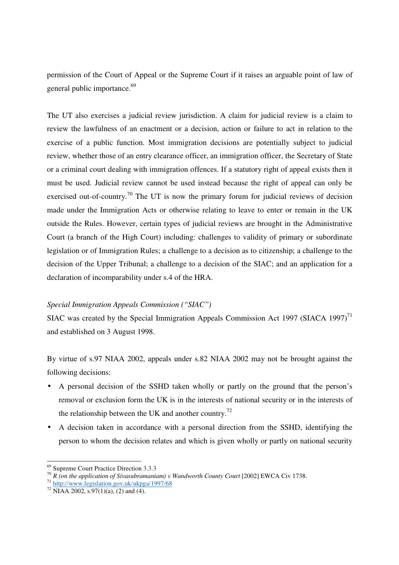permission of the Court of Appeal or the Supreme Court if it raises an arguable point of law of general public importance.<sup>69</sup>

The UT also exercises a judicial review jurisdiction. A claim for judicial review is a claim to review the lawfulness of an enactment or a decision, action or failure to act in relation to the exercise of a public function. Most immigration decisions are potentially subject to judicial review, whether those of an entry clearance officer, an immigration officer, the Secretary of State or a criminal court dealing with immigration offences. If a statutory right of appeal exists then it must be used. Judicial review cannot be used instead because the right of appeal can only be exercised out-of-country.<sup>70</sup> The UT is now the primary forum for judicial reviews of decision made under the Immigration Acts or otherwise relating to leave to enter or remain in the UK outside the Rules. However, certain types of judicial reviews are brought in the Administrative Court (a branch of the High Court) including: challenges to validity of primary or subordinate legislation or of Immigration Rules; a challenge to a decision as to citizenship; a challenge to the decision of the Upper Tribunal; a challenge to a decision of the SIAC; and an application for a declaration of incomparability under s.4 of the HRA.

#### *Special Immigration Appeals Commission ("SIAC")*

SIAC was created by the Special Immigration Appeals Commission Act 1997 (SIACA 1997)<sup>71</sup> and established on 3 August 1998.

By virtue of s.97 NIAA 2002, appeals under s.82 NIAA 2002 may not be brought against the following decisions:

- A personal decision of the SSHD taken wholly or partly on the ground that the person's removal or exclusion form the UK is in the interests of national security or in the interests of the relationship between the UK and another country.<sup>72</sup>
- A decision taken in accordance with a personal direction from the SSHD, identifying the person to whom the decision relates and which is given wholly or partly on national security

 $\overline{a}$ 

<sup>69</sup> Supreme Court Practice Direction 3.3.3

<sup>&</sup>lt;sup>70</sup> *R* (on the application of Sivasubramaniam) v Wandworth County Court [2002] EWCA Civ 1738.

<sup>&</sup>lt;sup>71</sup> http://www.legislation.gov.uk/ukpga/1997/68

 $72$  NIAA 2002, s.97(1)(a), (2) and (4).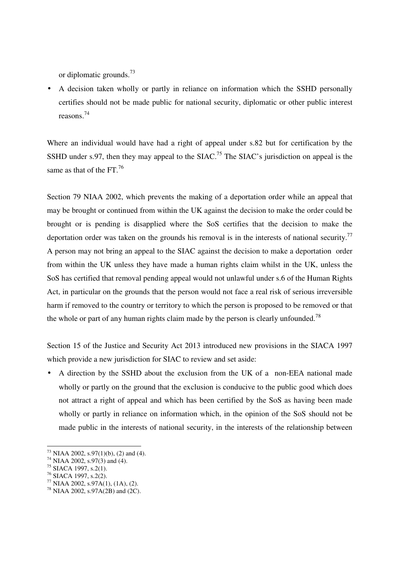or diplomatic grounds. $^{73}$ 

• A decision taken wholly or partly in reliance on information which the SSHD personally certifies should not be made public for national security, diplomatic or other public interest reasons. 74

Where an individual would have had a right of appeal under s.82 but for certification by the SSHD under s.97, then they may appeal to the SIAC.<sup>75</sup> The SIAC's jurisdiction on appeal is the same as that of the FT. $^{76}$ 

Section 79 NIAA 2002, which prevents the making of a deportation order while an appeal that may be brought or continued from within the UK against the decision to make the order could be brought or is pending is disapplied where the SoS certifies that the decision to make the deportation order was taken on the grounds his removal is in the interests of national security.<sup>77</sup> A person may not bring an appeal to the SIAC against the decision to make a deportation order from within the UK unless they have made a human rights claim whilst in the UK, unless the SoS has certified that removal pending appeal would not unlawful under s.6 of the Human Rights Act, in particular on the grounds that the person would not face a real risk of serious irreversible harm if removed to the country or territory to which the person is proposed to be removed or that the whole or part of any human rights claim made by the person is clearly unfounded.<sup>78</sup>

Section 15 of the Justice and Security Act 2013 introduced new provisions in the SIACA 1997 which provide a new jurisdiction for SIAC to review and set aside:

• A direction by the SSHD about the exclusion from the UK of a non-EEA national made wholly or partly on the ground that the exclusion is conducive to the public good which does not attract a right of appeal and which has been certified by the SoS as having been made wholly or partly in reliance on information which, in the opinion of the SoS should not be made public in the interests of national security, in the interests of the relationship between

 $^{73}$  NIAA 2002, s.97(1)(b), (2) and (4).

<sup>74</sup> NIAA 2002, s.97(3) and (4).

<sup>75</sup> SIACA 1997, s.2(1).

 $76$  SIACA 1997, s.2(2).

 $77$  NIAA 2002, s.97A(1), (1A), (2).

<sup>&</sup>lt;sup>78</sup> NIAA 2002, s.97A(2B) and (2C).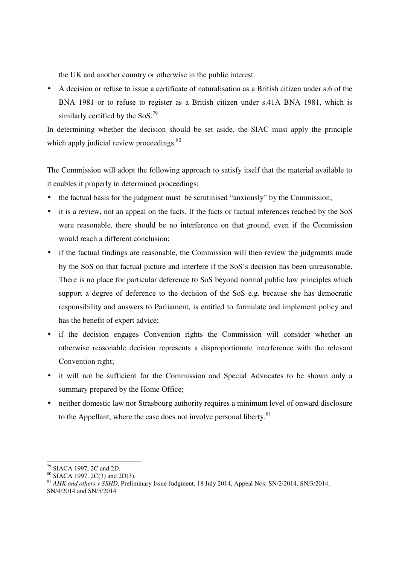the UK and another country or otherwise in the public interest.

• A decision or refuse to issue a certificate of naturalisation as a British citizen under s.6 of the BNA 1981 or to refuse to register as a British citizen under s.41A BNA 1981, which is similarly certified by the  $SoS.<sup>79</sup>$ 

In determining whether the decision should be set aside, the SIAC must apply the principle which apply judicial review proceedings. 80

The Commission will adopt the following approach to satisfy itself that the material available to it enables it properly to determined proceedings:

- the factual basis for the judgment must be scrutinised "anxiously" by the Commission;
- it is a review, not an appeal on the facts. If the facts or factual inferences reached by the SoS were reasonable, there should be no interference on that ground, even if the Commission would reach a different conclusion;
- if the factual findings are reasonable, the Commission will then review the judgments made by the SoS on that factual picture and interfere if the SoS's decision has been unreasonable. There is no place for particular deference to SoS beyond normal public law principles which support a degree of deference to the decision of the SoS e.g. because she has democratic responsibility and answers to Parliament, is entitled to formulate and implement policy and has the benefit of expert advice;
- if the decision engages Convention rights the Commission will consider whether an otherwise reasonable decision represents a disproportionate interference with the relevant Convention right;
- it will not be sufficient for the Commission and Special Advocates to be shown only a summary prepared by the Home Office;
- neither domestic law nor Strasbourg authority requires a minimum level of onward disclosure to the Appellant, where the case does not involve personal liberty.<sup>81</sup>

 $\overline{\phantom{a}}$ <sup>79</sup> SIACA 1997, 2C and 2D.

 $80$  SIACA 1997, 2C(3) and 2D(3).

<sup>81</sup> *AHK and others v SSHD,* Preliminary Issue Judgment, 18 July 2014, Appeal Nos: SN/2/2014, SN/3/2014,

SN/4/2014 and SN/5/2014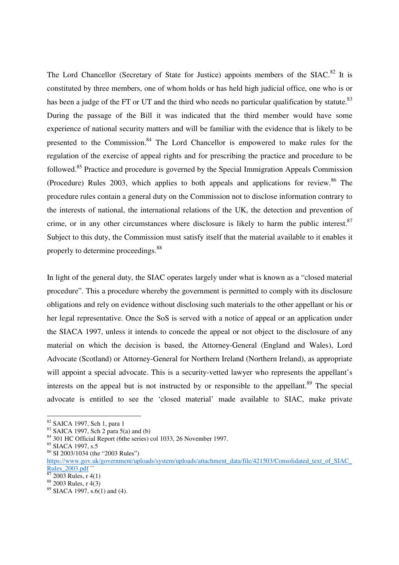The Lord Chancellor (Secretary of State for Justice) appoints members of the  $SLAC$ <sup>82</sup> It is constituted by three members, one of whom holds or has held high judicial office, one who is or has been a judge of the FT or UT and the third who needs no particular qualification by statute.<sup>83</sup> During the passage of the Bill it was indicated that the third member would have some experience of national security matters and will be familiar with the evidence that is likely to be presented to the Commission.<sup>84</sup> The Lord Chancellor is empowered to make rules for the regulation of the exercise of appeal rights and for prescribing the practice and procedure to be followed.<sup>85</sup> Practice and procedure is governed by the Special Immigration Appeals Commission (Procedure) Rules 2003, which applies to both appeals and applications for review.<sup>86</sup> The procedure rules contain a general duty on the Commission not to disclose information contrary to the interests of national, the international relations of the UK, the detection and prevention of crime, or in any other circumstances where disclosure is likely to harm the public interest. $87$ Subject to this duty, the Commission must satisfy itself that the material available to it enables it properly to determine proceedings.<sup>88</sup>

In light of the general duty, the SIAC operates largely under what is known as a "closed material procedure". This a procedure whereby the government is permitted to comply with its disclosure obligations and rely on evidence without disclosing such materials to the other appellant or his or her legal representative. Once the SoS is served with a notice of appeal or an application under the SIACA 1997, unless it intends to concede the appeal or not object to the disclosure of any material on which the decision is based, the Attorney-General (England and Wales), Lord Advocate (Scotland) or Attorney-General for Northern Ireland (Northern Ireland), as appropriate will appoint a special advocate. This is a security-vetted lawyer who represents the appellant's interests on the appeal but is not instructed by or responsible to the appellant.<sup>89</sup> The special advocate is entitled to see the 'closed material' made available to SIAC, make private

<sup>82</sup> SAICA 1997, Sch 1, para 1

 $83$  SAICA 1997, Sch 2 para 5(a) and (b)

<sup>84</sup> 301 HC Official Report (6the series) col 1033, 26 November 1997.

<sup>85</sup> SIACA 1997, s.5

<sup>86</sup> SI 2003/1034 (the "2003 Rules")

https://www.gov.uk/government/uploads/system/uploads/attachment\_data/file/421503/Consolidated\_text\_of\_SIAC\_ Rules\_2003.pdf

<sup>2003</sup> Rules, r 4(1)

<sup>88</sup> 2003 Rules, r 4(3)

 $89$  SIACA 1997, s.6(1) and (4).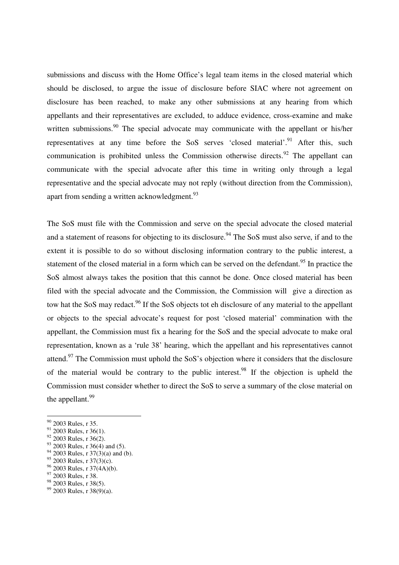submissions and discuss with the Home Office's legal team items in the closed material which should be disclosed, to argue the issue of disclosure before SIAC where not agreement on disclosure has been reached, to make any other submissions at any hearing from which appellants and their representatives are excluded, to adduce evidence, cross-examine and make written submissions.<sup>90</sup> The special advocate may communicate with the appellant or his/her representatives at any time before the SoS serves 'closed material'.<sup>91</sup> After this, such communication is prohibited unless the Commission otherwise directs. <sup>92</sup> The appellant can communicate with the special advocate after this time in writing only through a legal representative and the special advocate may not reply (without direction from the Commission), apart from sending a written acknowledgment.<sup>93</sup>

The SoS must file with the Commission and serve on the special advocate the closed material and a statement of reasons for objecting to its disclosure.<sup>94</sup> The SoS must also serve, if and to the extent it is possible to do so without disclosing information contrary to the public interest, a statement of the closed material in a form which can be served on the defendant.<sup>95</sup> In practice the SoS almost always takes the position that this cannot be done. Once closed material has been filed with the special advocate and the Commission, the Commission will give a direction as tow hat the SoS may redact.<sup>96</sup> If the SoS objects tot eh disclosure of any material to the appellant or objects to the special advocate's request for post 'closed material' commination with the appellant, the Commission must fix a hearing for the SoS and the special advocate to make oral representation, known as a 'rule 38' hearing, which the appellant and his representatives cannot attend.<sup>97</sup> The Commission must uphold the SoS's objection where it considers that the disclosure of the material would be contrary to the public interest.<sup>98</sup> If the objection is upheld the Commission must consider whether to direct the SoS to serve a summary of the close material on the appellant.<sup>99</sup>

-

 $94$  2003 Rules, r 37(3)(a) and (b).

- <sup>96</sup> 2003 Rules, r 37(4A)(b).
- <sup>97</sup> 2003 Rules, r 38.

<sup>&</sup>lt;sup>90</sup> 2003 Rules, r 35.

<sup>&</sup>lt;sup>91</sup> 2003 Rules, r 36(1).

<sup>92</sup> 2003 Rules, r 36(2).

 $93$  2003 Rules, r 36(4) and (5).

 $95$  2003 Rules, r 37(3)(c).

<sup>98</sup> 2003 Rules, r 38(5).  $99$  2003 Rules, r 38(9)(a).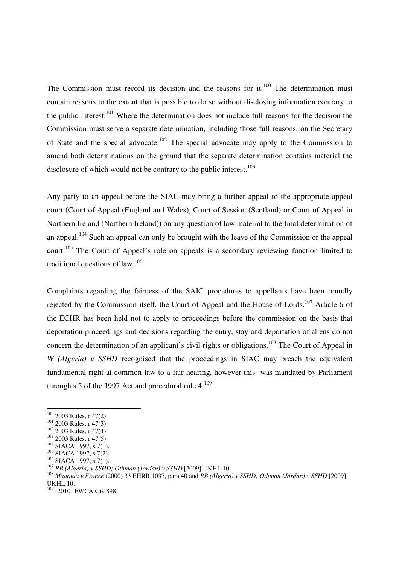The Commission must record its decision and the reasons for it. $100$  The determination must contain reasons to the extent that is possible to do so without disclosing information contrary to the public interest.<sup>101</sup> Where the determination does not include full reasons for the decision the Commission must serve a separate determination, including those full reasons, on the Secretary of State and the special advocate.<sup>102</sup> The special advocate may apply to the Commission to amend both determinations on the ground that the separate determination contains material the disclosure of which would not be contrary to the public interest.<sup>103</sup>

Any party to an appeal before the SIAC may bring a further appeal to the appropriate appeal court (Court of Appeal (England and Wales), Court of Session (Scotland) or Court of Appeal in Northern Ireland (Northern Ireland)) on any question of law material to the final determination of an appeal.<sup>104</sup> Such an appeal can only be brought with the leave of the Commission or the appeal court.<sup>105</sup> The Court of Appeal's role on appeals is a secondary reviewing function limited to traditional questions of law.<sup>106</sup>

Complaints regarding the fairness of the SAIC procedures to appellants have been roundly rejected by the Commission itself, the Court of Appeal and the House of Lords.<sup>107</sup> Article 6 of the ECHR has been held not to apply to proceedings before the commission on the basis that deportation proceedings and decisions regarding the entry, stay and deportation of aliens do not concern the determination of an applicant's civil rights or obligations.<sup>108</sup> The Court of Appeal in *W* (Algeria) v SSHD recognised that the proceedings in SIAC may breach the equivalent fundamental right at common law to a fair hearing, however this was mandated by Parliament through s.5 of the 1997 Act and procedural rule  $4.^{109}$ 

 $100$  2003 Rules, r 47(2).

 $101$  2003 Rules, r 47(3).

<sup>102</sup> 2003 Rules, r 47(4).

<sup>&</sup>lt;sup>103</sup> 2003 Rules, r 47(5).

<sup>&</sup>lt;sup>104</sup> SIACA 1997, s.7(1).

<sup>&</sup>lt;sup>105</sup> SIACA 1997, s.7(2).

<sup>&</sup>lt;sup>106</sup> SIACA 1997, s.7(1).

<sup>107</sup> *RB (Algeria) v SSHD; Othman (Jordan) v SSHD* [2009] UKHL 10.

<sup>108</sup> *Maaouia v France* (2000) 33 EHRR 1037, para 40 and *RB (Algeria) v SSHD; Othman (Jordan) v SSHD* [2009] UKHL 10.

<sup>&</sup>lt;sup>109</sup> [2010] EWCA Civ 898.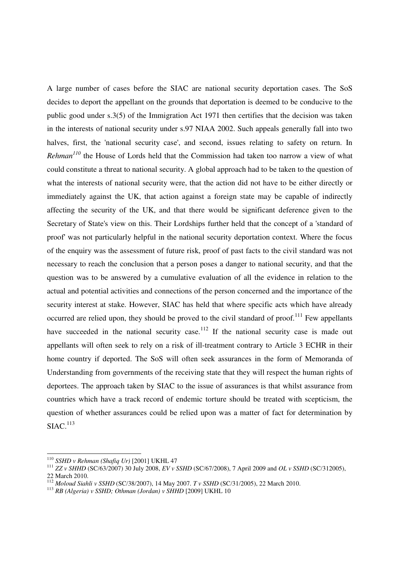A large number of cases before the SIAC are national security deportation cases. The SoS decides to deport the appellant on the grounds that deportation is deemed to be conducive to the public good under s.3(5) of the Immigration Act 1971 then certifies that the decision was taken in the interests of national security under s.97 NIAA 2002. Such appeals generally fall into two halves, first, the 'national security case', and second, issues relating to safety on return. In *Rehman<sup>110</sup>* the House of Lords held that the Commission had taken too narrow a view of what could constitute a threat to national security. A global approach had to be taken to the question of what the interests of national security were, that the action did not have to be either directly or immediately against the UK, that action against a foreign state may be capable of indirectly affecting the security of the UK, and that there would be significant deference given to the Secretary of State's view on this. Their Lordships further held that the concept of a 'standard of proof' was not particularly helpful in the national security deportation context. Where the focus of the enquiry was the assessment of future risk, proof of past facts to the civil standard was not necessary to reach the conclusion that a person poses a danger to national security, and that the question was to be answered by a cumulative evaluation of all the evidence in relation to the actual and potential activities and connections of the person concerned and the importance of the security interest at stake. However, SIAC has held that where specific acts which have already occurred are relied upon, they should be proved to the civil standard of proof.<sup>111</sup> Few appellants have succeeded in the national security case.<sup>112</sup> If the national security case is made out appellants will often seek to rely on a risk of ill-treatment contrary to Article 3 ECHR in their home country if deported. The SoS will often seek assurances in the form of Memoranda of Understanding from governments of the receiving state that they will respect the human rights of deportees. The approach taken by SIAC to the issue of assurances is that whilst assurance from countries which have a track record of endemic torture should be treated with scepticism, the question of whether assurances could be relied upon was a matter of fact for determination by  $SIAC<sup>113</sup>$ 

<sup>110</sup> *SSHD v Rehman (Shafiq Ur)* [2001] UKHL 47

<sup>111</sup> *ZZ v SHHD* (SC/63/2007) 30 July 2008, *EV v SSHD* (SC/67/2008), 7 April 2009 and *OL v SSHD* (SC/312005),

<sup>22</sup> March 2010.

<sup>112</sup> *Moloud Siahli v SSHD* (SC/38/2007), 14 May 2007. *T v SSHD* (SC/31/2005), 22 March 2010.

<sup>113</sup> *RB (Algeria) v SSHD; Othman (Jordan) v SHHD* [2009] UKHL 10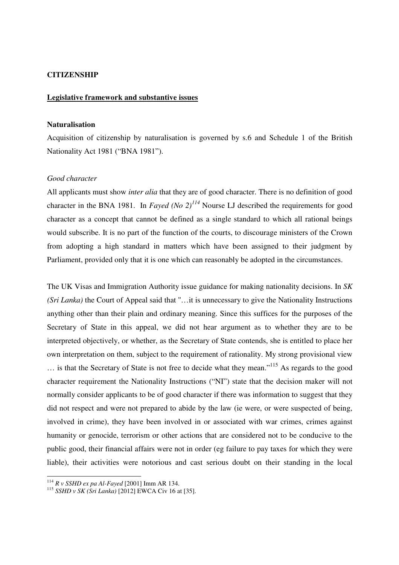#### **CITIZENSHIP**

#### **Legislative framework and substantive issues**

#### **Naturalisation**

Acquisition of citizenship by naturalisation is governed by s.6 and Schedule 1 of the British Nationality Act 1981 ("BNA 1981").

#### *Good character*

All applicants must show *inter alia* that they are of good character. There is no definition of good character in the BNA 1981. In *Fayed (No 2)<sup>114</sup>* Nourse LJ described the requirements for good character as a concept that cannot be defined as a single standard to which all rational beings would subscribe. It is no part of the function of the courts, to discourage ministers of the Crown from adopting a high standard in matters which have been assigned to their judgment by Parliament, provided only that it is one which can reasonably be adopted in the circumstances.

The UK Visas and Immigration Authority issue guidance for making nationality decisions. In *SK (Sri Lanka)* the Court of Appeal said that ''…it is unnecessary to give the Nationality Instructions anything other than their plain and ordinary meaning. Since this suffices for the purposes of the Secretary of State in this appeal, we did not hear argument as to whether they are to be interpreted objectively, or whether, as the Secretary of State contends, she is entitled to place her own interpretation on them, subject to the requirement of rationality. My strong provisional view … is that the Secretary of State is not free to decide what they mean."<sup>115</sup> As regards to the good character requirement the Nationality Instructions ("NI") state that the decision maker will not normally consider applicants to be of good character if there was information to suggest that they did not respect and were not prepared to abide by the law (ie were, or were suspected of being, involved in crime), they have been involved in or associated with war crimes, crimes against humanity or genocide, terrorism or other actions that are considered not to be conducive to the public good, their financial affairs were not in order (eg failure to pay taxes for which they were liable), their activities were notorious and cast serious doubt on their standing in the local

<sup>114</sup> *R v SSHD ex pa Al-Fayed* [2001] Imm AR 134.

<sup>115</sup> *SSHD v SK (Sri Lanka)* [2012] EWCA Civ 16 at [35].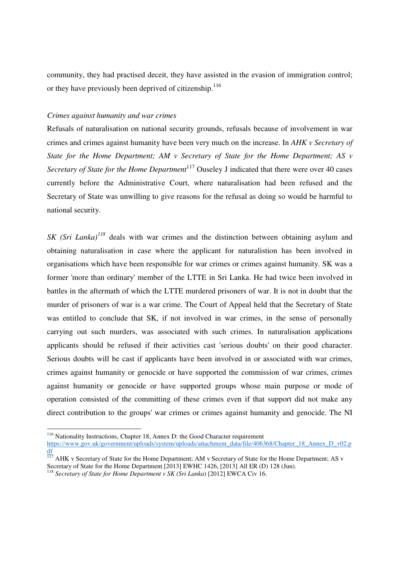community, they had practised deceit, they have assisted in the evasion of immigration control; or they have previously been deprived of citizenship.<sup>116</sup>

#### *Crimes against humanity and war crimes*

Refusals of naturalisation on national security grounds, refusals because of involvement in war crimes and crimes against humanity have been very much on the increase. In *AHK v Secretary of State for the Home Department; AM v Secretary of State for the Home Department; AS v Secretary of State for the Home Department*<sup>117</sup> Ouseley J indicated that there were over 40 cases currently before the Administrative Court, where naturalisation had been refused and the Secretary of State was unwilling to give reasons for the refusal as doing so would be harmful to national security.

*SK (Sri Lanka)<sup>118</sup>* deals with war crimes and the distinction between obtaining asylum and obtaining naturalisation in case where the applicant for naturalistion has been involved in organisations which have been responsible for war crimes or crimes against humanity. SK was a former 'more than ordinary' member of the LTTE in Sri Lanka. He had twice been involved in battles in the aftermath of which the LTTE murdered prisoners of war. It is not in doubt that the murder of prisoners of war is a war crime. The Court of Appeal held that the Secretary of State was entitled to conclude that SK, if not involved in war crimes, in the sense of personally carrying out such murders, was associated with such crimes. In naturalisation applications applicants should be refused if their activities cast 'serious doubts' on their good character. Serious doubts will be cast if applicants have been involved in or associated with war crimes, crimes against humanity or genocide or have supported the commission of war crimes, crimes against humanity or genocide or have supported groups whose main purpose or mode of operation consisted of the committing of these crimes even if that support did not make any direct contribution to the groups' war crimes or crimes against humanity and genocide. The NI

<sup>-</sup><sup>116</sup> Nationality Instructions, Chapter 18, Annex D: the Good Character requirement https://www.gov.uk/government/uploads/system/uploads/attachment\_data/file/406368/Chapter\_18\_Annex\_D\_v02.p df

<sup>&</sup>lt;sup>117</sup> AHK v Secretary of State for the Home Department; AM v Secretary of State for the Home Department; AS v Secretary of State for the Home Department [2013] EWHC 1426, [2013] All ER (D) 128 (Jun).

<sup>&</sup>lt;sup>118</sup> Secretary of State for Home Department v SK (Sri Lanka) [2012] EWCA Civ 16.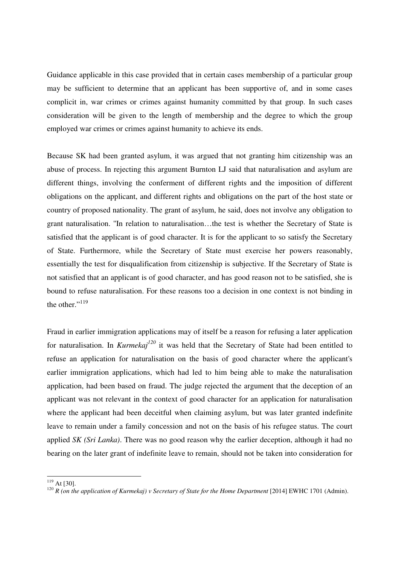Guidance applicable in this case provided that in certain cases membership of a particular group may be sufficient to determine that an applicant has been supportive of, and in some cases complicit in, war crimes or crimes against humanity committed by that group. In such cases consideration will be given to the length of membership and the degree to which the group employed war crimes or crimes against humanity to achieve its ends.

Because SK had been granted asylum, it was argued that not granting him citizenship was an abuse of process. In rejecting this argument Burnton LJ said that naturalisation and asylum are different things, involving the conferment of different rights and the imposition of different obligations on the applicant, and different rights and obligations on the part of the host state or country of proposed nationality. The grant of asylum, he said, does not involve any obligation to grant naturalisation. ''In relation to naturalisation…the test is whether the Secretary of State is satisfied that the applicant is of good character. It is for the applicant to so satisfy the Secretary of State. Furthermore, while the Secretary of State must exercise her powers reasonably, essentially the test for disqualification from citizenship is subjective. If the Secretary of State is not satisfied that an applicant is of good character, and has good reason not to be satisfied, she is bound to refuse naturalisation. For these reasons too a decision in one context is not binding in the other." $119$ 

Fraud in earlier immigration applications may of itself be a reason for refusing a later application for naturalisation. In *Kurmekaj<sup>120</sup>* it was held that the Secretary of State had been entitled to refuse an application for naturalisation on the basis of good character where the applicant's earlier immigration applications, which had led to him being able to make the naturalisation application, had been based on fraud. The judge rejected the argument that the deception of an applicant was not relevant in the context of good character for an application for naturalisation where the applicant had been deceitful when claiming asylum, but was later granted indefinite leave to remain under a family concession and not on the basis of his refugee status. The court applied *SK (Sri Lanka)*. There was no good reason why the earlier deception, although it had no bearing on the later grant of indefinite leave to remain, should not be taken into consideration for

<sup>-</sup> $^{119}$  At [30].

<sup>&</sup>lt;sup>120</sup> *R* (on the application of Kurmekaj) v Secretary of State for the Home Department [2014] EWHC 1701 (Admin).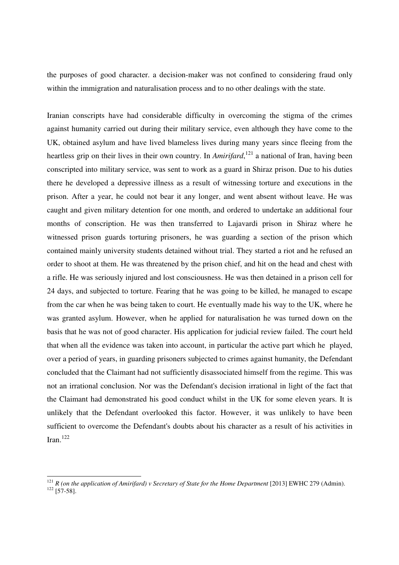the purposes of good character. a decision-maker was not confined to considering fraud only within the immigration and naturalisation process and to no other dealings with the state.

Iranian conscripts have had considerable difficulty in overcoming the stigma of the crimes against humanity carried out during their military service, even although they have come to the UK, obtained asylum and have lived blameless lives during many years since fleeing from the heartless grip on their lives in their own country. In *Amirifard*, <sup>121</sup> a national of Iran, having been conscripted into military service, was sent to work as a guard in Shiraz prison. Due to his duties there he developed a depressive illness as a result of witnessing torture and executions in the prison. After a year, he could not bear it any longer, and went absent without leave. He was caught and given military detention for one month, and ordered to undertake an additional four months of conscription. He was then transferred to Lajavardi prison in Shiraz where he witnessed prison guards torturing prisoners, he was guarding a section of the prison which contained mainly university students detained without trial. They started a riot and he refused an order to shoot at them. He was threatened by the prison chief, and hit on the head and chest with a rifle. He was seriously injured and lost consciousness. He was then detained in a prison cell for 24 days, and subjected to torture. Fearing that he was going to be killed, he managed to escape from the car when he was being taken to court. He eventually made his way to the UK, where he was granted asylum. However, when he applied for naturalisation he was turned down on the basis that he was not of good character. His application for judicial review failed. The court held that when all the evidence was taken into account, in particular the active part which he played, over a period of years, in guarding prisoners subjected to crimes against humanity, the Defendant concluded that the Claimant had not sufficiently disassociated himself from the regime. This was not an irrational conclusion. Nor was the Defendant's decision irrational in light of the fact that the Claimant had demonstrated his good conduct whilst in the UK for some eleven years. It is unlikely that the Defendant overlooked this factor. However, it was unlikely to have been sufficient to overcome the Defendant's doubts about his character as a result of his activities in Iran. $^{122}$ 

 $^{121}$  *R* (on the application of Amirifard) v Secretary of State for the Home Department [2013] EWHC 279 (Admin).  $^{122}$  [57-58].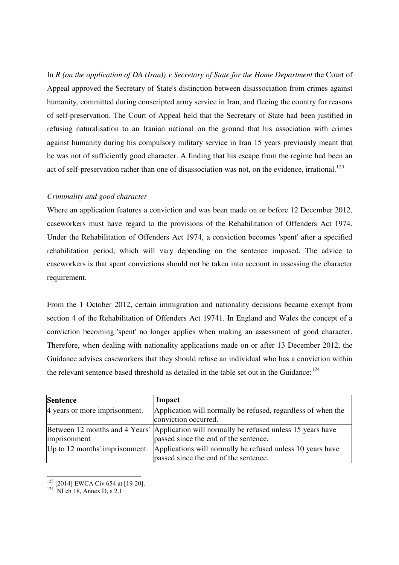In *R* (on the application of *DA* (Iran)) v Secretary of State for the Home Department the Court of Appeal approved the Secretary of State's distinction between disassociation from crimes against humanity, committed during conscripted army service in Iran, and fleeing the country for reasons of self-preservation. The Court of Appeal held that the Secretary of State had been justified in refusing naturalisation to an Iranian national on the ground that his association with crimes against humanity during his compulsory military service in Iran 15 years previously meant that he was not of sufficiently good character. A finding that his escape from the regime had been an act of self-preservation rather than one of disassociation was not, on the evidence, irrational.<sup>123</sup>

#### *Criminality and good character*

Where an application features a conviction and was been made on or before 12 December 2012, caseworkers must have regard to the provisions of the Rehabilitation of Offenders Act 1974. Under the Rehabilitation of Offenders Act 1974, a conviction becomes 'spent' after a specified rehabilitation period, which will vary depending on the sentence imposed. The advice to caseworkers is that spent convictions should not be taken into account in assessing the character requirement.

From the 1 October 2012, certain immigration and nationality decisions became exempt from section 4 of the Rehabilitation of Offenders Act 19741. In England and Wales the concept of a conviction becoming 'spent' no longer applies when making an assessment of good character. Therefore, when dealing with nationality applications made on or after 13 December 2012, the Guidance advises caseworkers that they should refuse an individual who has a conviction within the relevant sentence based threshold as detailed in the table set out in the Guidance: $^{124}$ 

| <b>Sentence</b>                  | Impact                                                                                                                            |
|----------------------------------|-----------------------------------------------------------------------------------------------------------------------------------|
| 4 years or more imprisonment.    | Application will normally be refused, regardless of when the<br>conviction occurred.                                              |
| imprisonment                     | Between 12 months and 4 Years' Application will normally be refused unless 15 years have<br>passed since the end of the sentence. |
| Up to $12$ months' imprisonment. | Applications will normally be refused unless 10 years have<br>passed since the end of the sentence.                               |

<sup>&</sup>lt;sup>123</sup> [2014] EWCA Civ 654 at [19-20].

 $124$  NI ch 18, Annex D, s 2.1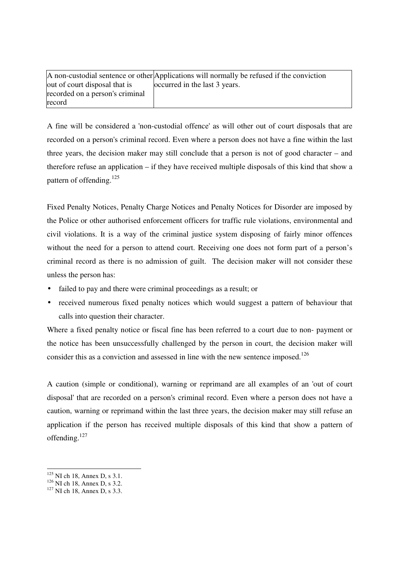|                                 | A non-custodial sentence or other Applications will normally be refused if the conviction |
|---------------------------------|-------------------------------------------------------------------------------------------|
| out of court disposal that is   | occurred in the last 3 years.                                                             |
| recorded on a person's criminal |                                                                                           |
| record                          |                                                                                           |

A fine will be considered a 'non-custodial offence' as will other out of court disposals that are recorded on a person's criminal record. Even where a person does not have a fine within the last three years, the decision maker may still conclude that a person is not of good character – and therefore refuse an application – if they have received multiple disposals of this kind that show a pattern of offending.<sup>125</sup>

Fixed Penalty Notices, Penalty Charge Notices and Penalty Notices for Disorder are imposed by the Police or other authorised enforcement officers for traffic rule violations, environmental and civil violations. It is a way of the criminal justice system disposing of fairly minor offences without the need for a person to attend court. Receiving one does not form part of a person's criminal record as there is no admission of guilt. The decision maker will not consider these unless the person has:

- failed to pay and there were criminal proceedings as a result; or
- received numerous fixed penalty notices which would suggest a pattern of behaviour that calls into question their character.

Where a fixed penalty notice or fiscal fine has been referred to a court due to non- payment or the notice has been unsuccessfully challenged by the person in court, the decision maker will consider this as a conviction and assessed in line with the new sentence imposed.<sup>126</sup>

A caution (simple or conditional), warning or reprimand are all examples of an 'out of court disposal' that are recorded on a person's criminal record. Even where a person does not have a caution, warning or reprimand within the last three years, the decision maker may still refuse an application if the person has received multiple disposals of this kind that show a pattern of offending. $127$ 

 $125$  NI ch 18, Annex D, s 3.1.

 $126$  NI ch 18, Annex D, s 3.2.

 $127$  NI ch 18, Annex D, s 3.3.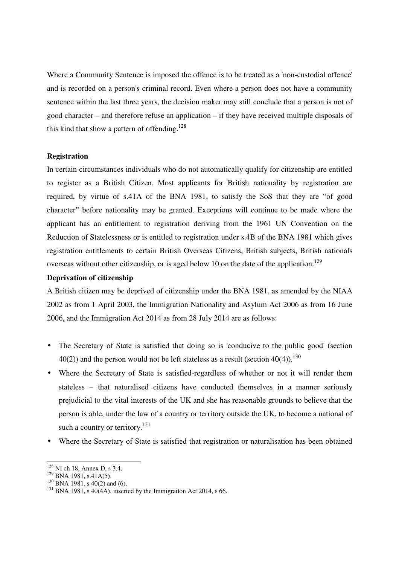Where a Community Sentence is imposed the offence is to be treated as a 'non-custodial offence' and is recorded on a person's criminal record. Even where a person does not have a community sentence within the last three years, the decision maker may still conclude that a person is not of good character – and therefore refuse an application – if they have received multiple disposals of this kind that show a pattern of offending.<sup>128</sup>

#### **Registration**

In certain circumstances individuals who do not automatically qualify for citizenship are entitled to register as a British Citizen. Most applicants for British nationality by registration are required, by virtue of s.41A of the BNA 1981, to satisfy the SoS that they are "of good character" before nationality may be granted. Exceptions will continue to be made where the applicant has an entitlement to registration deriving from the 1961 UN Convention on the Reduction of Statelessness or is entitled to registration under s.4B of the BNA 1981 which gives registration entitlements to certain British Overseas Citizens, British subjects, British nationals overseas without other citizenship, or is aged below 10 on the date of the application.<sup>129</sup>

#### **Deprivation of citizenship**

A British citizen may be deprived of citizenship under the BNA 1981, as amended by the NIAA 2002 as from 1 April 2003, the Immigration Nationality and Asylum Act 2006 as from 16 June 2006, and the Immigration Act 2014 as from 28 July 2014 are as follows:

- The Secretary of State is satisfied that doing so is 'conducive to the public good' (section  $40(2)$ ) and the person would not be left stateless as a result (section  $40(4)$ ).<sup>130</sup>
- Where the Secretary of State is satisfied-regardless of whether or not it will render them stateless – that naturalised citizens have conducted themselves in a manner seriously prejudicial to the vital interests of the UK and she has reasonable grounds to believe that the person is able, under the law of a country or territory outside the UK, to become a national of such a country or territory. $^{131}$
- Where the Secretary of State is satisfied that registration or naturalisation has been obtained

 $\frac{1}{\sqrt{2}}$ 

<sup>128</sup> NI ch 18, Annex D, s 3.4.

<sup>&</sup>lt;sup>129</sup> BNA 1981, s.41A(5).

<sup>130</sup> BNA 1981, s 40(2) and (6).

 $131$  BNA 1981, s 40(4A), inserted by the Immigraiton Act 2014, s 66.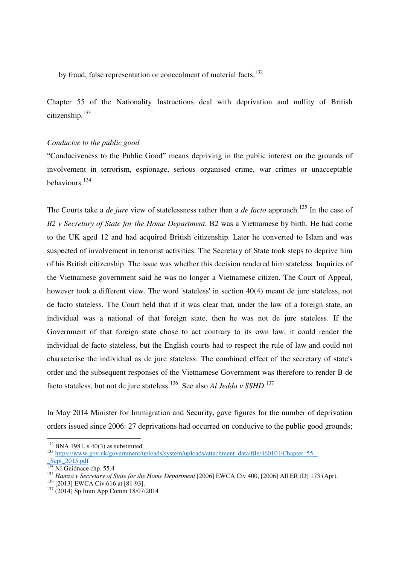by fraud, false representation or concealment of material facts.<sup>132</sup>

Chapter 55 of the Nationality Instructions deal with deprivation and nullity of British citizenship.<sup>133</sup>

#### *Conducive to the public good*

"Conduciveness to the Public Good" means depriving in the public interest on the grounds of involvement in terrorism, espionage, serious organised crime, war crimes or unacceptable behaviours.<sup>134</sup>

The Courts take a *de jure* view of statelessness rather than a *de facto* approach.<sup>135</sup> In the case of *B2 v Secretary of State for the Home Department*, B2 was a Vietnamese by birth. He had come to the UK aged 12 and had acquired British citizenship. Later he converted to Islam and was suspected of involvement in terrorist activities. The Secretary of State took steps to deprive him of his British citizenship. The issue was whether this decision rendered him stateless. Inquiries of the Vietnamese government said he was no longer a Vietnamese citizen. The Court of Appeal, however took a different view. The word 'stateless' in section 40(4) meant de jure stateless, not de facto stateless. The Court held that if it was clear that, under the law of a foreign state, an individual was a national of that foreign state, then he was not de jure stateless. If the Government of that foreign state chose to act contrary to its own law, it could render the individual de facto stateless, but the English courts had to respect the rule of law and could not characterise the individual as de jure stateless. The combined effect of the secretary of state's order and the subsequent responses of the Vietnamese Government was therefore to render B de facto stateless, but not de jure stateless.<sup>136</sup> See also *Al Jedda v SSHD*.<sup>137</sup>

In May 2014 Minister for Immigration and Security, gave figures for the number of deprivation orders issued since 2006: 27 deprivations had occurred on conducive to the public good grounds;

 $132$  BNA 1981, s 40(3) as substituted.

<sup>133</sup> https://www.gov.uk/government/uploads/system/uploads/attachment\_data/file/460101/Chapter\_55\_-

Sept<sup>2015.pdf</sup>

 $\frac{134}{134}$  NI Guidnace chp. 55.4

<sup>&</sup>lt;sup>135</sup> Hamza v Secretary of State for the Home Department [2006] EWCA Civ 400, [2006] All ER (D) 173 (Apr).

<sup>&</sup>lt;sup>136</sup> [2013] EWCA Civ 616 at [81-93].

<sup>137</sup> (2014) Sp Imm App Comm 18/07/2014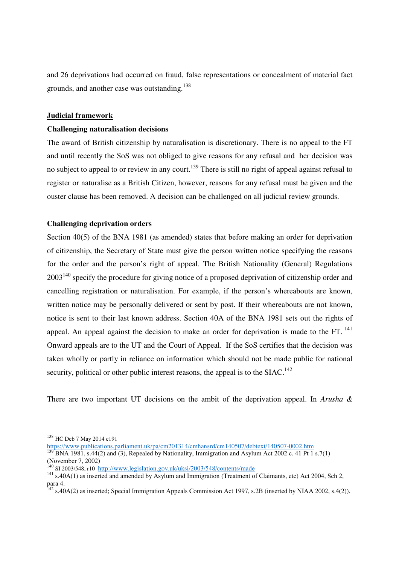and 26 deprivations had occurred on fraud, false representations or concealment of material fact grounds, and another case was outstanding.<sup>138</sup>

#### **Judicial framework**

#### **Challenging naturalisation decisions**

The award of British citizenship by naturalisation is discretionary. There is no appeal to the FT and until recently the SoS was not obliged to give reasons for any refusal and her decision was no subject to appeal to or review in any court.<sup>139</sup> There is still no right of appeal against refusal to register or naturalise as a British Citizen, however, reasons for any refusal must be given and the ouster clause has been removed. A decision can be challenged on all judicial review grounds.

#### **Challenging deprivation orders**

Section 40(5) of the BNA 1981 (as amended) states that before making an order for deprivation of citizenship, the Secretary of State must give the person written notice specifying the reasons for the order and the person's right of appeal. The British Nationality (General) Regulations 2003<sup>140</sup> specify the procedure for giving notice of a proposed deprivation of citizenship order and cancelling registration or naturalisation. For example, if the person's whereabouts are known, written notice may be personally delivered or sent by post. If their whereabouts are not known, notice is sent to their last known address. Section 40A of the BNA 1981 sets out the rights of appeal. An appeal against the decision to make an order for deprivation is made to the FT.  $^{141}$ Onward appeals are to the UT and the Court of Appeal. If the SoS certifies that the decision was taken wholly or partly in reliance on information which should not be made public for national security, political or other public interest reasons, the appeal is to the  $SIAC<sup>142</sup>$ 

There are two important UT decisions on the ambit of the deprivation appeal. In *Arusha &* 

<sup>&</sup>lt;sup>138</sup> HC Deb 7 May 2014 c191

https://www.publications.parliament.uk/pa/cm201314/cmhansrd/cm140507/debtext/140507-0002.htm

 $139$  BNA 1981, s.44(2) and (3), Repealed by Nationality, Immigration and Asylum Act 2002 c. 41 Pt 1 s.7(1) (November 7, 2002)

<sup>&</sup>lt;sup>140</sup> SI 2003/548, r10 http://www.legislation.gov.uk/uksi/2003/548/contents/made

<sup>&</sup>lt;sup>141</sup> s.40A(1) as inserted and amended by Asylum and Immigration (Treatment of Claimants, etc) Act 2004, Sch 2, para 4.

 $^{142}$  s.40A(2) as inserted; Special Immigration Appeals Commission Act 1997, s.2B (inserted by NIAA 2002, s.4(2)).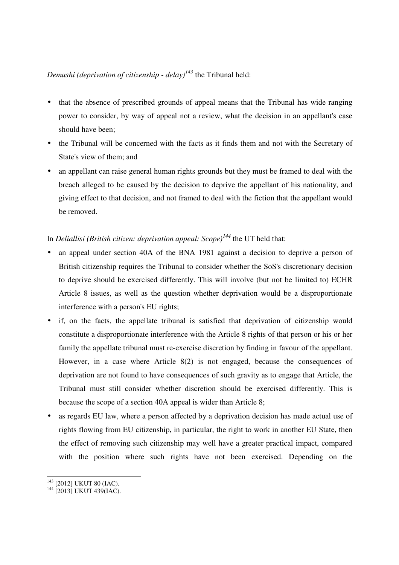## *Demushi (deprivation of citizenship - delay)<sup>143</sup>* the Tribunal held:

- that the absence of prescribed grounds of appeal means that the Tribunal has wide ranging power to consider, by way of appeal not a review, what the decision in an appellant's case should have been;
- the Tribunal will be concerned with the facts as it finds them and not with the Secretary of State's view of them; and
- an appellant can raise general human rights grounds but they must be framed to deal with the breach alleged to be caused by the decision to deprive the appellant of his nationality, and giving effect to that decision, and not framed to deal with the fiction that the appellant would be removed.

## In *Deliallisi (British citizen: deprivation appeal: Scope)<sup>144</sup>* the UT held that:

- an appeal under section 40A of the BNA 1981 against a decision to deprive a person of British citizenship requires the Tribunal to consider whether the SoS's discretionary decision to deprive should be exercised differently. This will involve (but not be limited to) ECHR Article 8 issues, as well as the question whether deprivation would be a disproportionate interference with a person's EU rights;
- if, on the facts, the appellate tribunal is satisfied that deprivation of citizenship would constitute a disproportionate interference with the Article 8 rights of that person or his or her family the appellate tribunal must re-exercise discretion by finding in favour of the appellant. However, in a case where Article 8(2) is not engaged, because the consequences of deprivation are not found to have consequences of such gravity as to engage that Article, the Tribunal must still consider whether discretion should be exercised differently. This is because the scope of a section 40A appeal is wider than Article 8;
- as regards EU law, where a person affected by a deprivation decision has made actual use of rights flowing from EU citizenship, in particular, the right to work in another EU State, then the effect of removing such citizenship may well have a greater practical impact, compared with the position where such rights have not been exercised. Depending on the

<sup>-</sup><sup>143</sup> [2012] UKUT 80 (IAC).

<sup>&</sup>lt;sup>144</sup> [2013] UKUT 439(IAC).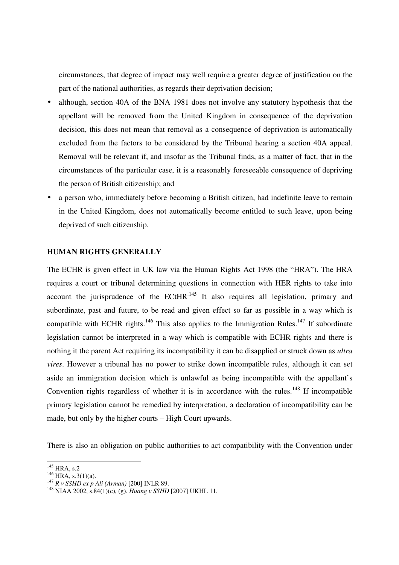circumstances, that degree of impact may well require a greater degree of justification on the part of the national authorities, as regards their deprivation decision;

- although, section 40A of the BNA 1981 does not involve any statutory hypothesis that the appellant will be removed from the United Kingdom in consequence of the deprivation decision, this does not mean that removal as a consequence of deprivation is automatically excluded from the factors to be considered by the Tribunal hearing a section 40A appeal. Removal will be relevant if, and insofar as the Tribunal finds, as a matter of fact, that in the circumstances of the particular case, it is a reasonably foreseeable consequence of depriving the person of British citizenship; and
- a person who, immediately before becoming a British citizen, had indefinite leave to remain in the United Kingdom, does not automatically become entitled to such leave, upon being deprived of such citizenship.

#### **HUMAN RIGHTS GENERALLY**

The ECHR is given effect in UK law via the Human Rights Act 1998 (the "HRA"). The HRA requires a court or tribunal determining questions in connection with HER rights to take into account the jurisprudence of the ECtHR $^{145}$  It also requires all legislation, primary and subordinate, past and future, to be read and given effect so far as possible in a way which is compatible with ECHR rights.<sup>146</sup> This also applies to the Immigration Rules.<sup>147</sup> If subordinate legislation cannot be interpreted in a way which is compatible with ECHR rights and there is nothing it the parent Act requiring its incompatibility it can be disapplied or struck down as *ultra vires*. However a tribunal has no power to strike down incompatible rules, although it can set aside an immigration decision which is unlawful as being incompatible with the appellant's Convention rights regardless of whether it is in accordance with the rules.<sup>148</sup> If incompatible primary legislation cannot be remedied by interpretation, a declaration of incompatibility can be made, but only by the higher courts – High Court upwards.

There is also an obligation on public authorities to act compatibility with the Convention under

 $\frac{1}{\sqrt{2}}$  $145$  HRA, s.2

 $^{146}$  HRA, s.3(1)(a).

<sup>147</sup> *R v SSHD ex p Ali (Arman)* [200] INLR 89.

<sup>148</sup> NIAA 2002, s.84(1)(c), (g). *Huang v SSHD* [2007] UKHL 11.